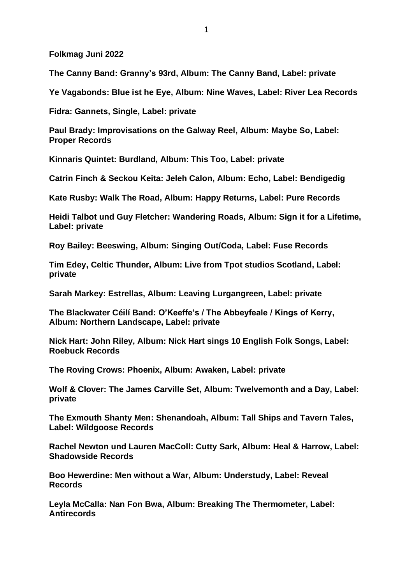**Folkmag Juni 2022**

**The Canny Band: Granny's 93rd, Album: The Canny Band, Label: private**

**Ye Vagabonds: Blue ist he Eye, Album: Nine Waves, Label: River Lea Records**

**Fidra: Gannets, Single, Label: private**

**Paul Brady: Improvisations on the Galway Reel, Album: Maybe So, Label: Proper Records**

**Kinnaris Quintet: Burdland, Album: This Too, Label: private**

**Catrin Finch & Seckou Keita: Jeleh Calon, Album: Echo, Label: Bendigedig**

**Kate Rusby: Walk The Road, Album: Happy Returns, Label: Pure Records**

**Heidi Talbot und Guy Fletcher: Wandering Roads, Album: Sign it for a Lifetime, Label: private**

**Roy Bailey: Beeswing, Album: Singing Out/Coda, Label: Fuse Records**

**Tim Edey, Celtic Thunder, Album: Live from Tpot studios Scotland, Label: private**

**Sarah Markey: Estrellas, Album: Leaving Lurgangreen, Label: private**

**The Blackwater Céilí Band: O'Keeffe's / The Abbeyfeale / Kings of Kerry, Album: Northern Landscape, Label: private**

**Nick Hart: John Riley, Album: Nick Hart sings 10 English Folk Songs, Label: Roebuck Records**

**The Roving Crows: Phoenix, Album: Awaken, Label: private**

**Wolf & Clover: The James Carville Set, Album: Twelvemonth and a Day, Label: private**

**The Exmouth Shanty Men: Shenandoah, Album: Tall Ships and Tavern Tales, Label: Wildgoose Records**

**Rachel Newton und Lauren MacColl: Cutty Sark, Album: Heal & Harrow, Label: Shadowside Records**

**Boo Hewerdine: Men without a War, Album: Understudy, Label: Reveal Records**

**Leyla McCalla: Nan Fon Bwa, Album: Breaking The Thermometer, Label: Antirecords**